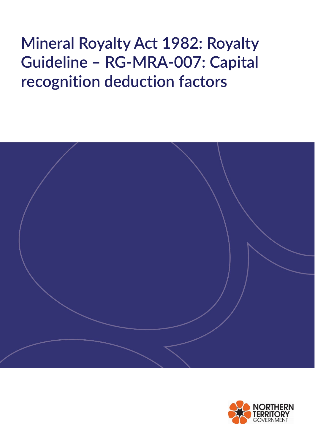# **Mineral Royalty Act 1982: Royalty Guideline – RG-MRA-007: Capital recognition deduction factors**



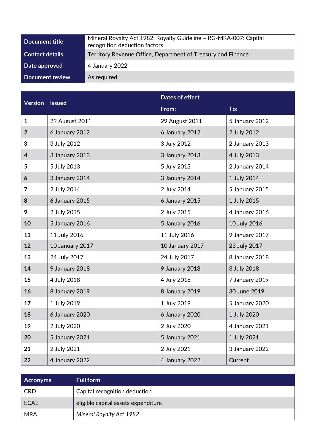| Document title         | Mineral Royalty Act 1982: Royalty Guideline - RG-MRA-007: Capital<br>recognition deduction factors |
|------------------------|----------------------------------------------------------------------------------------------------|
| <b>Contact details</b> | Territory Revenue Office, Department of Treasury and Finance                                       |
| Date approved          | 4 January 2022                                                                                     |
| Document review        | As required                                                                                        |

| <b>Version</b>          | <b>Issued</b>   | Dates of effect |                |  |
|-------------------------|-----------------|-----------------|----------------|--|
|                         |                 | From:           | To:            |  |
| $\mathbf{1}$            | 29 August 2011  | 29 August 2011  | 5 January 2012 |  |
| $\overline{2}$          | 6 January 2012  | 6 January 2012  | 2 July 2012    |  |
| 3                       | 3 July 2012     | 3 July 2012     | 2 January 2013 |  |
| $\overline{\mathbf{4}}$ | 3 January 2013  | 3 January 2013  | 4 July 2013    |  |
| 5                       | 5 July 2013     | 5 July 2013     | 2 January 2014 |  |
| 6                       | 3 January 2014  | 3 January 2014  | 1 July 2014    |  |
| $\overline{7}$          | 2 July 2014     | 2 July 2014     | 5 January 2015 |  |
| 8                       | 6 January 2015  | 6 January 2015  | 1 July 2015    |  |
| 9                       | 2 July 2015     | 2 July 2015     | 4 January 2016 |  |
| 10                      | 5 January 2016  | 5 January 2016  | 10 July 2016   |  |
| 11                      | 11 July 2016    | 11 July 2016    | 9 January 2017 |  |
| 12                      | 10 January 2017 | 10 January 2017 | 23 July 2017   |  |
| 13                      | 24 July 2017    | 24 July 2017    | 8 January 2018 |  |
| 14                      | 9 January 2018  | 9 January 2018  | 3 July 2018    |  |
| 15                      | 4 July 2018     | 4 July 2018     | 7 January 2019 |  |
| 16                      | 8 January 2019  | 8 January 2019  | 30 June 2019   |  |
| 17                      | 1 July 2019     | 1 July 2019     | 5 January 2020 |  |
| 18                      | 6 January 2020  | 6 January 2020  | 1 July 2020    |  |
| 19                      | 2 July 2020     | 2 July 2020     | 4 January 2021 |  |
| 20                      | 5 January 2021  | 5 January 2021  | 1 July 2021    |  |
| 21                      | 2 July 2021     | 2 July 2021     | 3 January 2022 |  |
| 22                      | 4 January 2022  | 4 January 2022  | Current        |  |

| <b>Acronyms</b> | <b>Full form</b>                    |
|-----------------|-------------------------------------|
| <b>CRD</b>      | Capital recognition deduction       |
| ECAE            | eligible capital assets expenditure |
| <b>MRA</b>      | <b>Mineral Royalty Act 1982</b>     |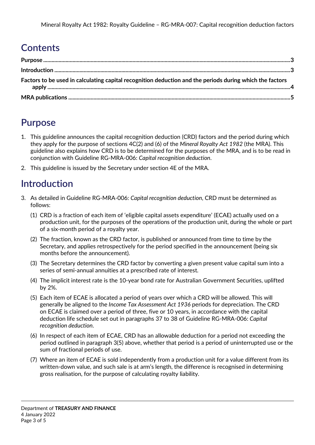## **Contents**

| Factors to be used in calculating capital recognition deduction and the periods during which the factors |  |
|----------------------------------------------------------------------------------------------------------|--|
|                                                                                                          |  |

## <span id="page-2-0"></span>**Purpose**

- 1. This guideline announces the capital recognition deduction (CRD) factors and the period during which they apply for the purpose of sections 4C(2) and (6) of the *Mineral Royalty Act 1982* (the MRA). This guideline also explains how CRD is to be determined for the purposes of the MRA, and is to be read in conjunction with Guideline RG-MRA-006: *Capital recognition deduction*.
- 2. This guideline is issued by the Secretary under section 4E of the MRA.

## <span id="page-2-1"></span>**Introduction**

- 3. As detailed in Guideline RG-MRA-006: *Capital recognition deduction*, CRD must be determined as follows:
	- (1) CRD is a fraction of each item of 'eligible capital assets expenditure' (ECAE) actually used on a production unit, for the purposes of the operations of the production unit, during the whole or part of a six-month period of a royalty year.
	- (2) The fraction, known as the CRD factor, is published or announced from time to time by the Secretary, and applies retrospectively for the period specified in the announcement (being six months before the announcement).
	- (3) The Secretary determines the CRD factor by converting a given present value capital sum into a series of semi-annual annuities at a prescribed rate of interest.
	- (4) The implicit interest rate is the 10-year bond rate for Australian Government Securities, uplifted by 2%.
	- (5) Each item of ECAE is allocated a period of years over which a CRD will be allowed. This will generally be aligned to the *Income Tax Assessment Act 1936* periods for depreciation. The CRD on ECAE is claimed over a period of three, five or 10 years, in accordance with the capital deduction life schedule set out in paragraphs 37 to 38 of Guideline RG-MRA-006: *Capital recognition deduction*.
	- (6) In respect of each item of ECAE, CRD has an allowable deduction for a period not exceeding the period outlined in paragraph 3(5) above, whether that period is a period of uninterrupted use or the sum of fractional periods of use.
	- (7) Where an item of ECAE is sold independently from a production unit for a value different from its written-down value, and such sale is at arm's length, the difference is recognised in determining gross realisation, for the purpose of calculating royalty liability.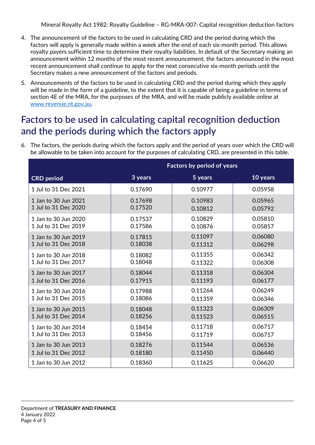Mineral Royalty Act 1982: Royalty Guideline – RG-MRA-007: Capital recognition deduction factors

- 4. The announcement of the factors to be used in calculating CRD and the period during which the factors will apply is generally made within a week after the end of each six-month period. This allows royalty payers sufficient time to determine their royalty liabilities. In default of the Secretary making an announcement within 12 months of the most recent announcement, the factors announced in the most recent announcement shall continue to apply for the next consecutive six-month periods until the Secretary makes a new announcement of the factors and periods.
- 5. Announcements of the factors to be used in calculating CRD and the period during which they apply will be made in the form of a guideline, to the extent that it is capable of being a guideline in terms of section 4E of the MRA, for the purposes of the MRA, and will be made publicly available online at [www.revenue.nt.gov.au.](http://www.revenue.nt.gov.au/)

## <span id="page-3-0"></span>**Factors to be used in calculating capital recognition deduction and the periods during which the factors apply**

6. The factors, the periods during which the factors apply and the period of years over which the CRD will be allowable to be taken into account for the purposes of calculating CRD, are presented in this table.

|                      | <b>Factors by period of years</b> |         |          |  |
|----------------------|-----------------------------------|---------|----------|--|
| <b>CRD</b> period    | 3 years                           | 5 years | 10 years |  |
| 1 Jul to 31 Dec 2021 | 0.17690                           | 0.10977 | 0.05958  |  |
| 1 Jan to 30 Jun 2021 | 0.17698                           | 0.10983 | 0.05965  |  |
| 1 Jul to 31 Dec 2020 | 0.17520                           | 0.10812 | 0.05792  |  |
| 1 Jan to 30 Jun 2020 | 0.17537                           | 0.10829 | 0.05810  |  |
| 1 Jul to 31 Dec 2019 | 0.17586                           | 0.10876 | 0.05857  |  |
| 1 Jan to 30 Jun 2019 | 0.17815                           | 0.11097 | 0.06080  |  |
| 1 Jul to 31 Dec 2018 | 0.18038                           | 0.11312 | 0.06298  |  |
| 1 Jan to 30 Jun 2018 | 0.18082                           | 0.11355 | 0.06342  |  |
| 1 Jul to 31 Dec 2017 | 0.18048                           | 0.11322 | 0.06308  |  |
| 1 Jan to 30 Jun 2017 | 0.18044                           | 0.11318 | 0.06304  |  |
| 1 Jul to 31 Dec 2016 | 0.17915                           | 0.11193 | 0.06177  |  |
| 1 Jan to 30 Jun 2016 | 0.17988                           | 0.11264 | 0.06249  |  |
| 1 Jul to 31 Dec 2015 | 0.18086                           | 0.11359 | 0.06346  |  |
| 1 Jan to 30 Jun 2015 | 0.18048                           | 0.11323 | 0.06309  |  |
| 1 Jul to 31 Dec 2014 | 0.18256                           | 0.11523 | 0.06515  |  |
| 1 Jan to 30 Jun 2014 | 0.18454                           | 0.11718 | 0.06717  |  |
| 1 Jul to 31 Dec 2013 | 0.18456                           | 0.11719 | 0.06717  |  |
| 1 Jan to 30 Jun 2013 | 0.18276                           | 0.11544 | 0.06536  |  |
| 1 Jul to 31 Dec 2012 | 0.18180                           | 0.11450 | 0.06440  |  |
| 1 Jan to 30 Jun 2012 | 0.18360                           | 0.11625 | 0.06620  |  |